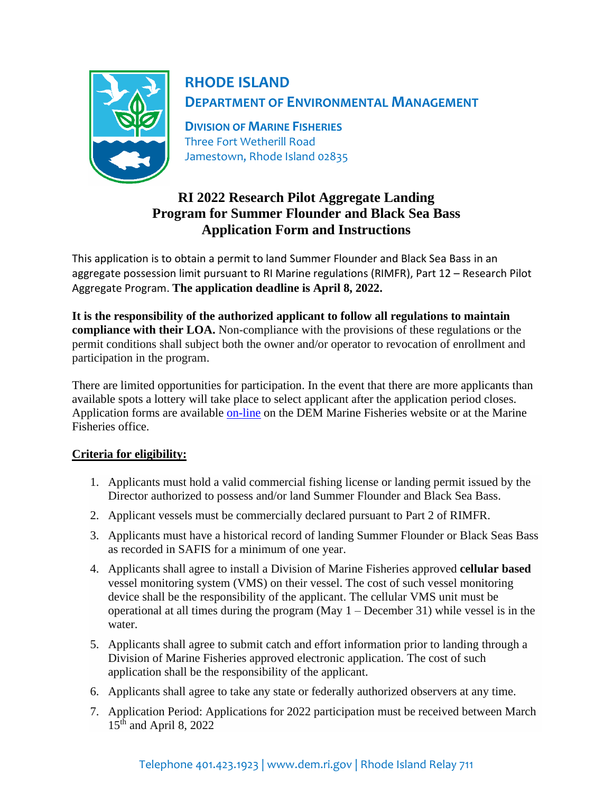

# **RHODE ISLAND DEPARTMENT OF ENVIRONMENTAL MANAGEMENT**

**DIVISION OF MARINE FISHERIES** Three Fort Wetherill Road Jamestown, Rhode Island 02835

## **RI 2022 Research Pilot Aggregate Landing Program for Summer Flounder and Black Sea Bass Application Form and Instructions**

This application is to obtain a permit to land Summer Flounder and Black Sea Bass in an aggregate possession limit pursuant to RI Marine regulations (RIMFR), Part 12 – Research Pilot Aggregate Program. **The application deadline is April 8, 2022.**

**It is the responsibility of the authorized applicant to follow all regulations to maintain compliance with their LOA.** Non-compliance with the provisions of these regulations or the permit conditions shall subject both the owner and/or operator to revocation of enrollment and participation in the program.

There are limited opportunities for participation. In the event that there are more applicants than available spots a lottery will take place to select applicant after the application period closes. Application forms are available [on-line](http://www.dem.ri.gov/programs/marine-fisheries/forms-permits.php) on the DEM Marine Fisheries website or at the Marine Fisheries office.

## **Criteria for eligibility:**

- 1. Applicants must hold a valid commercial fishing license or landing permit issued by the Director authorized to possess and/or land Summer Flounder and Black Sea Bass.
- 2. Applicant vessels must be commercially declared pursuant to Part 2 of RIMFR.
- 3. Applicants must have a historical record of landing Summer Flounder or Black Seas Bass as recorded in SAFIS for a minimum of one year.
- 4. Applicants shall agree to install a Division of Marine Fisheries approved **cellular based** vessel monitoring system (VMS) on their vessel. The cost of such vessel monitoring device shall be the responsibility of the applicant. The cellular VMS unit must be operational at all times during the program (May 1 – December 31) while vessel is in the water.
- 5. Applicants shall agree to submit catch and effort information prior to landing through a Division of Marine Fisheries approved electronic application. The cost of such application shall be the responsibility of the applicant.
- 6. Applicants shall agree to take any state or federally authorized observers at any time.
- 7. Application Period: Applications for 2022 participation must be received between March 15<sup>th</sup> and April 8, 2022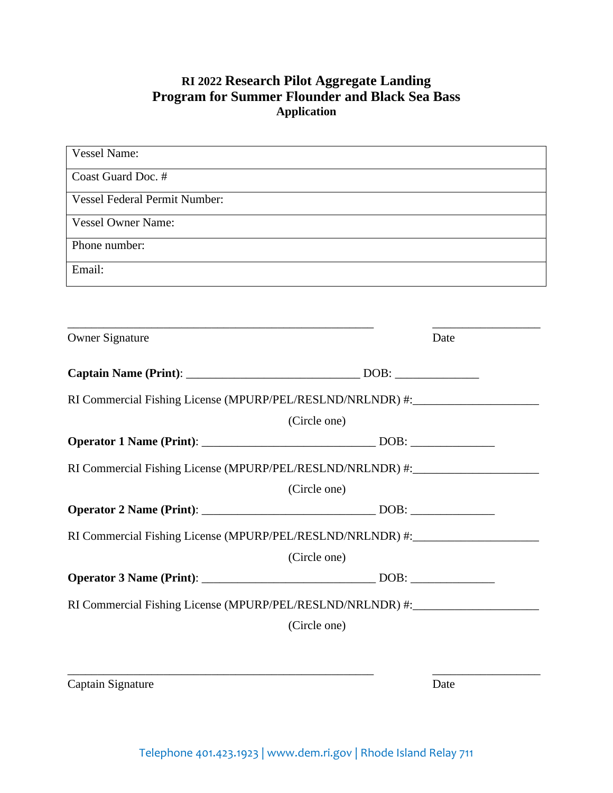## **RI 2022 Research Pilot Aggregate Landing Program for Summer Flounder and Black Sea Bass Application**

| <b>Vessel Name:</b>                                                                                                   |      |
|-----------------------------------------------------------------------------------------------------------------------|------|
| Coast Guard Doc. #                                                                                                    |      |
| <b>Vessel Federal Permit Number:</b>                                                                                  |      |
| <b>Vessel Owner Name:</b>                                                                                             |      |
| Phone number:                                                                                                         |      |
| Email:                                                                                                                |      |
|                                                                                                                       |      |
| <u> 1989 - Johann John Stoff, deutscher Stoffen und der Stoffen und der Stoffen und der Stoffen und der Stoffen u</u> |      |
| <b>Owner Signature</b>                                                                                                | Date |
|                                                                                                                       |      |
| RI Commercial Fishing License (MPURP/PEL/RESLND/NRLNDR) #:                                                            |      |
| (Circle one)                                                                                                          |      |
|                                                                                                                       |      |
| RI Commercial Fishing License (MPURP/PEL/RESLND/NRLNDR) #:______________________                                      |      |
| (Circle one)                                                                                                          |      |
|                                                                                                                       |      |
| RI Commercial Fishing License (MPURP/PEL/RESLND/NRLNDR) #:______________________                                      |      |
| (Circle one)                                                                                                          |      |
|                                                                                                                       |      |
| RI Commercial Fishing License (MPURP/PEL/RESLND/NRLNDR) #:______________________                                      |      |
| (Circle one)                                                                                                          |      |
|                                                                                                                       |      |
|                                                                                                                       |      |
| Captain Signature                                                                                                     | Date |